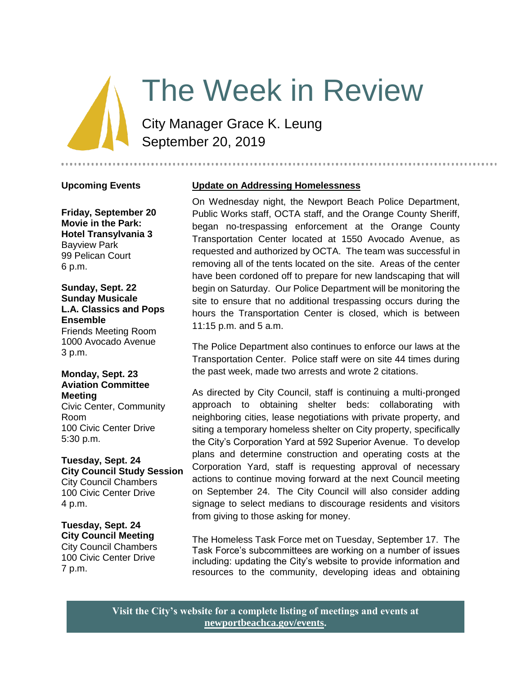## The Week in Review

City Manager Grace K. Leung September 20, 2019

**Upcoming Events**

**Friday, September 20 Movie in the Park: Hotel Transylvania 3** Bayview Park 99 Pelican Court 6 p.m.

#### **Sunday, Sept. 22 Sunday Musicale L.A. Classics and Pops Ensemble**  Friends Meeting Room

1000 Avocado Avenue 3 p.m.

#### **Monday, Sept. 23 Aviation Committee Meeting**

Civic Center, Community Room 100 Civic Center Drive 5:30 p.m.

#### **Tuesday, Sept. 24 City Council Study Session** City Council Chambers 100 Civic Center Drive 4 p.m.

#### **Tuesday, Sept. 24**

**City Council Meeting** City Council Chambers 100 Civic Center Drive 7 p.m.

#### **Update on Addressing Homelessness**

On Wednesday night, the Newport Beach Police Department, Public Works staff, OCTA staff, and the Orange County Sheriff, began no-trespassing enforcement at the Orange County Transportation Center located at 1550 Avocado Avenue, as requested and authorized by OCTA. The team was successful in removing all of the tents located on the site. Areas of the center have been cordoned off to prepare for new landscaping that will begin on Saturday. Our Police Department will be monitoring the site to ensure that no additional trespassing occurs during the hours the Transportation Center is closed, which is between 11:15 p.m. and 5 a.m.

The Police Department also continues to enforce our laws at the Transportation Center. Police staff were on site 44 times during the past week, made two arrests and wrote 2 citations.

As directed by City Council, staff is continuing a multi-pronged approach to obtaining shelter beds: collaborating with neighboring cities, lease negotiations with private property, and siting a temporary homeless shelter on City property, specifically the City's Corporation Yard at 592 Superior Avenue. To develop plans and determine construction and operating costs at the Corporation Yard, staff is requesting approval of necessary actions to continue moving forward at the next Council meeting on September 24. The City Council will also consider adding signage to select medians to discourage residents and visitors from giving to those asking for money.

The Homeless Task Force met on Tuesday, September 17. The Task Force's subcommittees are working on a number of issues including: updating the City's website to provide information and resources to the community, developing ideas and obtaining

**Visit the City's website for a complete listing of meetings and events at [newportbeachca.gov/events.](https://www.newportbeachca.gov/government/open-government/city-calendar)**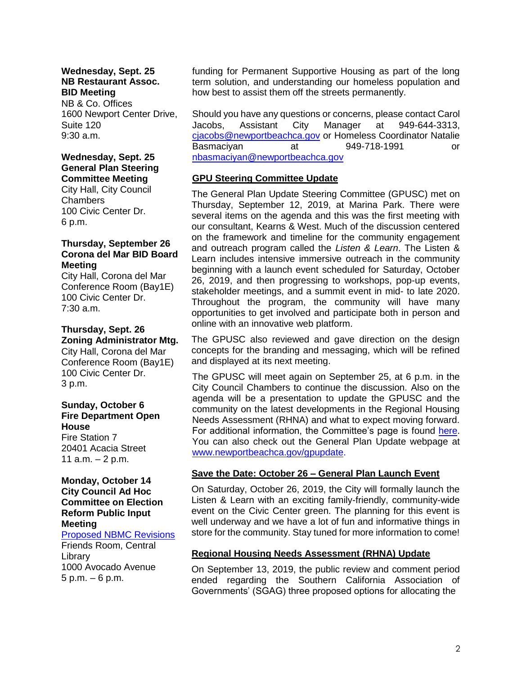#### **Wednesday, Sept. 25 NB Restaurant Assoc. BID Meeting**

NB & Co. Offices 1600 Newport Center Drive, Suite 120 9:30 a.m.

#### **Wednesday, Sept. 25 General Plan Steering Committee Meeting**

City Hall, City Council Chambers 100 Civic Center Dr. 6 p.m.

#### **Thursday, September 26 Corona del Mar BID Board Meeting**

City Hall, Corona del Mar Conference Room (Bay1E) 100 Civic Center Dr. 7:30 a.m.

#### **Thursday, Sept. 26 Zoning Administrator Mtg.**

City Hall, Corona del Mar Conference Room (Bay1E) 100 Civic Center Dr. 3 p.m.

#### **Sunday, October 6 Fire Department Open House**

Fire Station 7 20401 Acacia Street 11  $a.m. - 2 p.m.$ 

#### **Monday, October 14 City Council Ad Hoc Committee on Election Reform Public Input Meeting**

[Proposed NBMC Revisions](https://www.newportbeachca.gov/Home/Components/Calendar/Event/58174/72?curm=10&cury=2019) Friends Room, Central

Library 1000 Avocado Avenue 5 p.m. – 6 p.m.

funding for Permanent Supportive Housing as part of the long term solution, and understanding our homeless population and how best to assist them off the streets permanently.

Should you have any questions or concerns, please contact Carol Jacobs, Assistant City Manager at 949-644-3313, [cjacobs@newportbeachca.gov](mailto:cjacobs@newportbeachca.gov) or Homeless Coordinator Natalie Basmaciyan at 949-718-1991 or [nbasmaciyan@newportbeachca.gov](mailto:nbasmaciyan@newportbeachca.gov)

#### **GPU Steering Committee Update**

The General Plan Update Steering Committee (GPUSC) met on Thursday, September 12, 2019, at Marina Park. There were several items on the agenda and this was the first meeting with our consultant, Kearns & West. Much of the discussion centered on the framework and timeline for the community engagement and outreach program called the *Listen & Learn*. The Listen & Learn includes intensive immersive outreach in the community beginning with a launch event scheduled for Saturday, October 26, 2019, and then progressing to workshops, pop-up events, stakeholder meetings, and a summit event in mid- to late 2020. Throughout the program, the community will have many opportunities to get involved and participate both in person and online with an innovative web platform.

The GPUSC also reviewed and gave direction on the design concepts for the branding and messaging, which will be refined and displayed at its next meeting.

The GPUSC will meet again on September 25, at 6 p.m. in the City Council Chambers to continue the discussion. Also on the agenda will be a presentation to update the GPUSC and the community on the latest developments in the Regional Housing Needs Assessment (RHNA) and what to expect moving forward. For additional information, the Committee's page is found [here.](https://www.newportbeachca.gov/government/departments/community-development/planning-division/general-plan-codes-and-regulations/general-plan-update/general-plan-update-steering-committee) You can also check out the General Plan Update webpage at [www.newportbeachca.gov/gpupdate.](http://www.newportbeachca.gov/gpupdate)

#### **Save the Date: October 26 – General Plan Launch Event**

On Saturday, October 26, 2019, the City will formally launch the Listen & Learn with an exciting family-friendly, community-wide event on the Civic Center green. The planning for this event is well underway and we have a lot of fun and informative things in store for the community. Stay tuned for more information to come!

#### **Regional Housing Needs Assessment (RHNA) Update**

On September 13, 2019, the public review and comment period ended regarding the Southern California Association of Governments' (SGAG) three proposed options for allocating the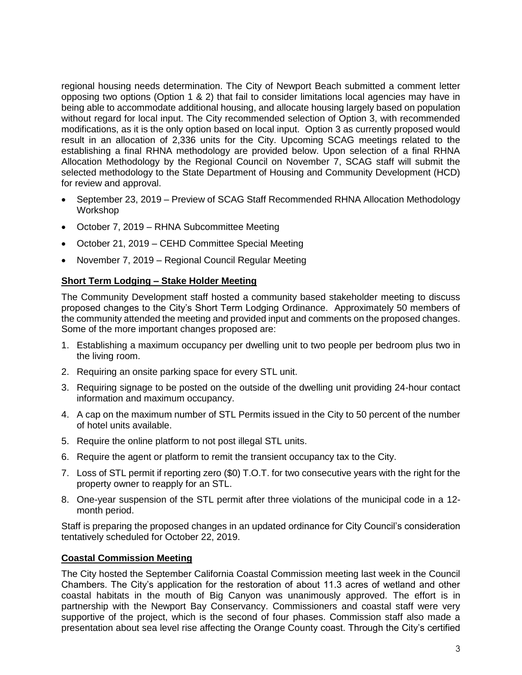regional housing needs determination. The City of Newport Beach submitted a comment letter opposing two options (Option 1 & 2) that fail to consider limitations local agencies may have in being able to accommodate additional housing, and allocate housing largely based on population without regard for local input. The City recommended selection of Option 3, with recommended modifications, as it is the only option based on local input. Option 3 as currently proposed would result in an allocation of 2,336 units for the City. Upcoming SCAG meetings related to the establishing a final RHNA methodology are provided below. Upon selection of a final RHNA Allocation Methodology by the Regional Council on November 7, SCAG staff will submit the selected methodology to the State Department of Housing and Community Development (HCD) for review and approval.

- September 23, 2019 Preview of SCAG Staff Recommended RHNA Allocation Methodology Workshop
- October 7, 2019 RHNA Subcommittee Meeting
- October 21, 2019 CEHD Committee Special Meeting
- November 7, 2019 Regional Council Regular Meeting

#### **Short Term Lodging – Stake Holder Meeting**

The Community Development staff hosted a community based stakeholder meeting to discuss proposed changes to the City's Short Term Lodging Ordinance. Approximately 50 members of the community attended the meeting and provided input and comments on the proposed changes. Some of the more important changes proposed are:

- 1. Establishing a maximum occupancy per dwelling unit to two people per bedroom plus two in the living room.
- 2. Requiring an onsite parking space for every STL unit.
- 3. Requiring signage to be posted on the outside of the dwelling unit providing 24-hour contact information and maximum occupancy.
- 4. A cap on the maximum number of STL Permits issued in the City to 50 percent of the number of hotel units available.
- 5. Require the online platform to not post illegal STL units.
- 6. Require the agent or platform to remit the transient occupancy tax to the City.
- 7. Loss of STL permit if reporting zero (\$0) T.O.T. for two consecutive years with the right for the property owner to reapply for an STL.
- 8. One-year suspension of the STL permit after three violations of the municipal code in a 12 month period.

Staff is preparing the proposed changes in an updated ordinance for City Council's consideration tentatively scheduled for October 22, 2019.

#### **Coastal Commission Meeting**

The City hosted the September California Coastal Commission meeting last week in the Council Chambers. The City's application for the restoration of about 11.3 acres of wetland and other coastal habitats in the mouth of Big Canyon was unanimously approved. The effort is in partnership with the Newport Bay Conservancy. Commissioners and coastal staff were very supportive of the project, which is the second of four phases. Commission staff also made a presentation about sea level rise affecting the Orange County coast. Through the City's certified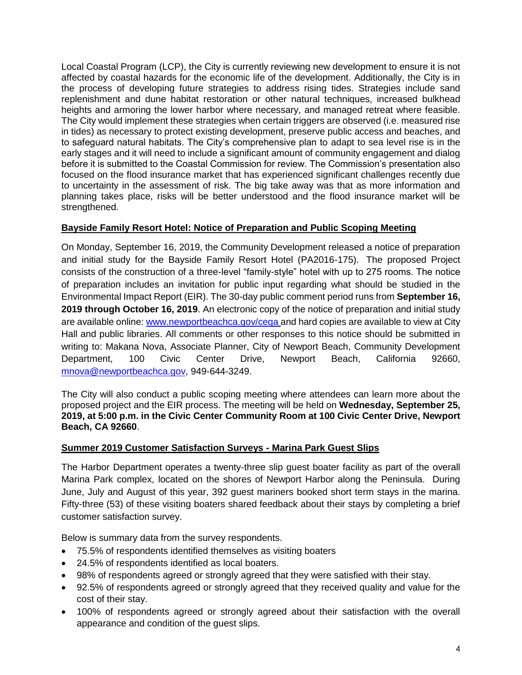Local Coastal Program (LCP), the City is currently reviewing new development to ensure it is not affected by coastal hazards for the economic life of the development. Additionally, the City is in the process of developing future strategies to address rising tides. Strategies include sand replenishment and dune habitat restoration or other natural techniques, increased bulkhead heights and armoring the lower harbor where necessary, and managed retreat where feasible. The City would implement these strategies when certain triggers are observed (i.e. measured rise in tides) as necessary to protect existing development, preserve public access and beaches, and to safeguard natural habitats. The City's comprehensive plan to adapt to sea level rise is in the early stages and it will need to include a significant amount of community engagement and dialog before it is submitted to the Coastal Commission for review. The Commission's presentation also focused on the flood insurance market that has experienced significant challenges recently due to uncertainty in the assessment of risk. The big take away was that as more information and planning takes place, risks will be better understood and the flood insurance market will be strengthened.

#### **Bayside Family Resort Hotel: Notice of Preparation and Public Scoping Meeting**

On Monday, September 16, 2019, the Community Development released a notice of preparation and initial study for the Bayside Family Resort Hotel (PA2016-175). The proposed Project consists of the construction of a three-level "family-style" hotel with up to 275 rooms. The notice of preparation includes an invitation for public input regarding what should be studied in the Environmental Impact Report (EIR). The 30-day public comment period runs from **September 16, 2019 through October 16, 2019**. An electronic copy of the notice of preparation and initial study are available online: [www.newportbeachca.gov/ceqa](http://www.newportbeachca.gov/ceqa) and hard copies are available to view at City Hall and public libraries. All comments or other responses to this notice should be submitted in writing to: Makana Nova, Associate Planner, City of Newport Beach, Community Development Department, 100 Civic Center Drive, Newport Beach, California 92660, [mnova@newportbeachca.gov,](mailto:mnova@newportbeachca.gov) 949-644-3249.

The City will also conduct a public scoping meeting where attendees can learn more about the proposed project and the EIR process. The meeting will be held on **Wednesday, September 25, 2019, at 5:00 p.m. in the Civic Center Community Room at 100 Civic Center Drive, Newport Beach, CA 92660**.

#### **Summer 2019 Customer Satisfaction Surveys - Marina Park Guest Slips**

The Harbor Department operates a twenty-three slip guest boater facility as part of the overall Marina Park complex, located on the shores of Newport Harbor along the Peninsula. During June, July and August of this year, 392 guest mariners booked short term stays in the marina. Fifty-three (53) of these visiting boaters shared feedback about their stays by completing a brief customer satisfaction survey.

Below is summary data from the survey respondents.

- 75.5% of respondents identified themselves as visiting boaters
- 24.5% of respondents identified as local boaters.
- 98% of respondents agreed or strongly agreed that they were satisfied with their stay.
- 92.5% of respondents agreed or strongly agreed that they received quality and value for the cost of their stay.
- 100% of respondents agreed or strongly agreed about their satisfaction with the overall appearance and condition of the guest slips.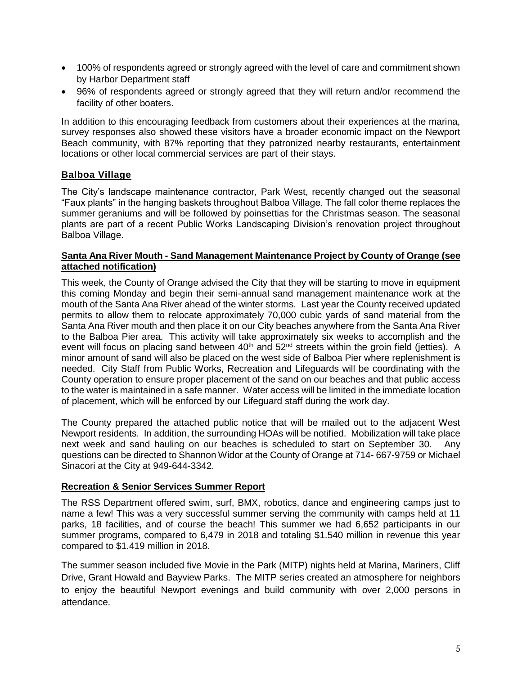- 100% of respondents agreed or strongly agreed with the level of care and commitment shown by Harbor Department staff
- 96% of respondents agreed or strongly agreed that they will return and/or recommend the facility of other boaters.

In addition to this encouraging feedback from customers about their experiences at the marina, survey responses also showed these visitors have a broader economic impact on the Newport Beach community, with 87% reporting that they patronized nearby restaurants, entertainment locations or other local commercial services are part of their stays.

#### **Balboa Village**

The City's landscape maintenance contractor, Park West, recently changed out the seasonal "Faux plants" in the hanging baskets throughout Balboa Village. The fall color theme replaces the summer geraniums and will be followed by poinsettias for the Christmas season. The seasonal plants are part of a recent Public Works Landscaping Division's renovation project throughout Balboa Village.

#### **Santa Ana River Mouth - Sand Management Maintenance Project by County of Orange (see attached notification)**

This week, the County of Orange advised the City that they will be starting to move in equipment this coming Monday and begin their semi-annual sand management maintenance work at the mouth of the Santa Ana River ahead of the winter storms. Last year the County received updated permits to allow them to relocate approximately 70,000 cubic yards of sand material from the Santa Ana River mouth and then place it on our City beaches anywhere from the Santa Ana River to the Balboa Pier area. This activity will take approximately six weeks to accomplish and the event will focus on placing sand between  $40<sup>th</sup>$  and  $52<sup>nd</sup>$  streets within the groin field (jetties). A minor amount of sand will also be placed on the west side of Balboa Pier where replenishment is needed. City Staff from Public Works, Recreation and Lifeguards will be coordinating with the County operation to ensure proper placement of the sand on our beaches and that public access to the water is maintained in a safe manner. Water access will be limited in the immediate location of placement, which will be enforced by our Lifeguard staff during the work day.

The County prepared the attached public notice that will be mailed out to the adjacent West Newport residents. In addition, the surrounding HOAs will be notified. Mobilization will take place next week and sand hauling on our beaches is scheduled to start on September 30. Any questions can be directed to Shannon Widor at the County of Orange at 714- 667-9759 or Michael Sinacori at the City at 949-644-3342.

#### **Recreation & Senior Services Summer Report**

The RSS Department offered swim, surf, BMX, robotics, dance and engineering camps just to name a few! This was a very successful summer serving the community with camps held at 11 parks, 18 facilities, and of course the beach! This summer we had 6,652 participants in our summer programs, compared to 6,479 in 2018 and totaling \$1.540 million in revenue this year compared to \$1.419 million in 2018.

The summer season included five Movie in the Park (MITP) nights held at Marina, Mariners, Cliff Drive, Grant Howald and Bayview Parks. The MITP series created an atmosphere for neighbors to enjoy the beautiful Newport evenings and build community with over 2,000 persons in attendance.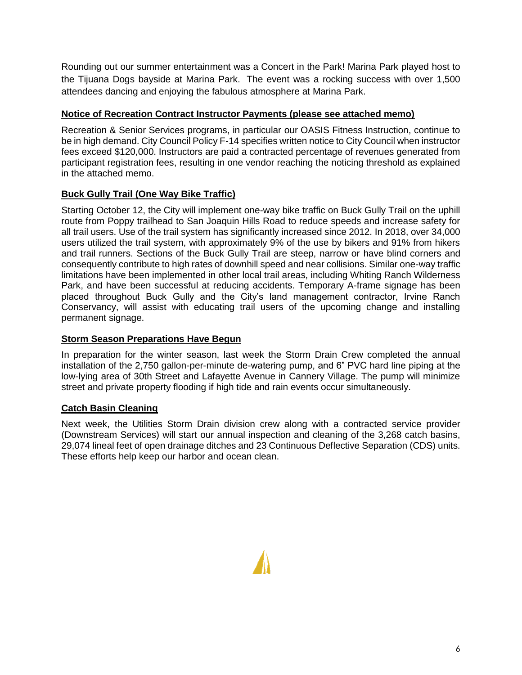Rounding out our summer entertainment was a Concert in the Park! Marina Park played host to the Tijuana Dogs bayside at Marina Park. The event was a rocking success with over 1,500 attendees dancing and enjoying the fabulous atmosphere at Marina Park.

#### **Notice of Recreation Contract Instructor Payments (please see attached memo)**

Recreation & Senior Services programs, in particular our OASIS Fitness Instruction, continue to be in high demand. City Council Policy F-14 specifies written notice to City Council when instructor fees exceed \$120,000. Instructors are paid a contracted percentage of revenues generated from participant registration fees, resulting in one vendor reaching the noticing threshold as explained in the attached memo.

#### **Buck Gully Trail (One Way Bike Traffic)**

Starting October 12, the City will implement one-way bike traffic on Buck Gully Trail on the uphill route from Poppy trailhead to San Joaquin Hills Road to reduce speeds and increase safety for all trail users. Use of the trail system has significantly increased since 2012. In 2018, over 34,000 users utilized the trail system, with approximately 9% of the use by bikers and 91% from hikers and trail runners. Sections of the Buck Gully Trail are steep, narrow or have blind corners and consequently contribute to high rates of downhill speed and near collisions. Similar one-way traffic limitations have been implemented in other local trail areas, including Whiting Ranch Wilderness Park, and have been successful at reducing accidents. Temporary A-frame signage has been placed throughout Buck Gully and the City's land management contractor, Irvine Ranch Conservancy, will assist with educating trail users of the upcoming change and installing permanent signage.

#### **Storm Season Preparations Have Begun**

In preparation for the winter season, last week the Storm Drain Crew completed the annual installation of the 2,750 gallon-per-minute de-watering pump, and 6" PVC hard line piping at the low-lying area of 30th Street and Lafayette Avenue in Cannery Village. The pump will minimize street and private property flooding if high tide and rain events occur simultaneously.

#### **Catch Basin Cleaning**

Next week, the Utilities Storm Drain division crew along with a contracted service provider (Downstream Services) will start our annual inspection and cleaning of the 3,268 catch basins, 29,074 lineal feet of open drainage ditches and 23 Continuous Deflective Separation (CDS) units. These efforts help keep our harbor and ocean clean.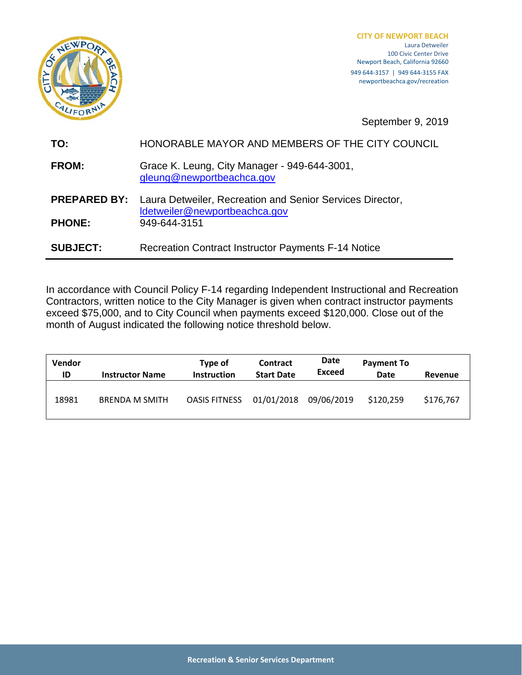

**CITY OF NEWPORT BEACH** Laura Detweiler 100 Civic Center Drive Newport Beach, California 92660 949 644‐3157 | 949 644‐3155 FAX newportbeachca.gov/recreation

September 9, 2019

| TO:                 | HONORABLE MAYOR AND MEMBERS OF THE CITY COUNCIL                                            |  |  |  |
|---------------------|--------------------------------------------------------------------------------------------|--|--|--|
| <b>FROM:</b>        | Grace K. Leung, City Manager - 949-644-3001,<br>gleung@newportbeachca.gov                  |  |  |  |
| <b>PREPARED BY:</b> | Laura Detweiler, Recreation and Senior Services Director,<br>Idetweiler@newportbeachca.gov |  |  |  |
| <b>PHONE:</b>       | 949-644-3151                                                                               |  |  |  |
| <b>SUBJECT:</b>     | <b>Recreation Contract Instructor Payments F-14 Notice</b>                                 |  |  |  |

In accordance with Council Policy F‐14 regarding Independent Instructional and Recreation Contractors, written notice to the City Manager is given when contract instructor payments exceed \$75,000, and to City Council when payments exceed \$120,000. Close out of the month of August indicated the following notice threshold below.

| <b>Vendor</b><br>ID | <b>Instructor Name</b> | Type of<br><b>Instruction</b> | <b>Contract</b><br><b>Start Date</b> | Date<br>Exceed | <b>Payment To</b><br>Date | Revenue   |
|---------------------|------------------------|-------------------------------|--------------------------------------|----------------|---------------------------|-----------|
| 18981               | <b>BRENDA M SMITH</b>  | <b>OASIS FITNESS</b>          | 01/01/2018                           | 09/06/2019     | \$120,259                 | \$176,767 |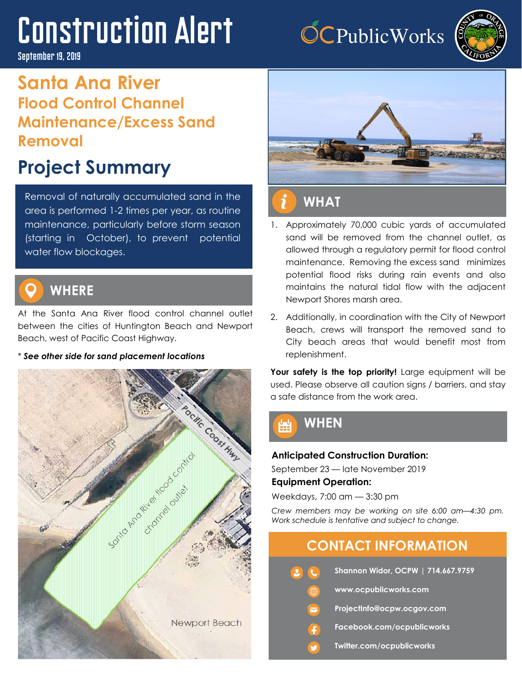# Construction Alert

#### September 19, 2019

## **Santa Ana River Flood Control Channel Maintenance/Excess Sand Removal**

## **Project Summary**

Removal of naturally accumulated sand in the area is performed 1-2 times per year, as routine maintenance, particularly before storm season (starting in October), to prevent potential water flow blockages.



## **WHERE**

At the Santa Ana River flood control channel outlet between the cities of Huntington Beach and Newport Beach, west of Pacific Coast Highway.

#### \* *See other side for sand placement locations*





**OCPublicWorks** 

#### 1. Approximately 70,000 cubic yards of accumulated sand will be removed from the channel outlet, as allowed through a regulatory permit for flood control maintenance. Removing the excess sand minimizes potential flood risks during rain events and also maintains the natural tidal flow with the adjacent Newport Shores marsh area.

2. Additionally, in coordination with the City of Newport Beach, crews will transport the removed sand to City beach areas that would benefit most from replenishment.

Your safety is the top priority! Large equipment will be used. Please observe all caution signs / barriers, and stay a safe distance from the work area.



#### **Anticipated Construction Duration:**

September 23 — late November 2019

#### **Equipment Operation:**

Weekdays, 7:00 am — 3:30 pm

*Crew members may be working on site 6:00 am—4:30 pm. Work schedule is tentative and subject to change.* 

### **CONTACT INFORMATION**

- **Shannon Widor, OCPW | 714.667.9759 www.ocpublicworks.com ProjectInfo@ocpw.ocgov.com Facebook.com/ocpublicworks**
	- **Twitter.com/ocpublicworks**